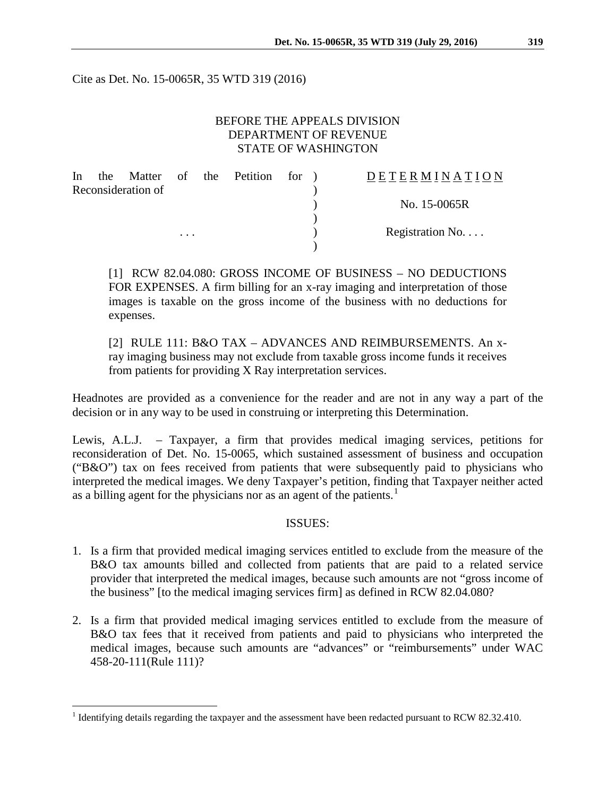Cite as Det. No. 15-0065R, 35 WTD 319 (2016)

#### BEFORE THE APPEALS DIVISION DEPARTMENT OF REVENUE STATE OF WASHINGTON

| In | the |                    |          | Matter of the Petition for ) |  | <b>DETERMINATION</b> |
|----|-----|--------------------|----------|------------------------------|--|----------------------|
|    |     | Reconsideration of |          |                              |  |                      |
|    |     |                    |          |                              |  | No. 15-0065R         |
|    |     |                    |          |                              |  |                      |
|    |     |                    | $\cdots$ |                              |  | Registration No      |
|    |     |                    |          |                              |  |                      |

[1] RCW 82.04.080: GROSS INCOME OF BUSINESS – NO DEDUCTIONS FOR EXPENSES. A firm billing for an x-ray imaging and interpretation of those images is taxable on the gross income of the business with no deductions for expenses.

[2] RULE 111: B&O TAX – ADVANCES AND REIMBURSEMENTS. An xray imaging business may not exclude from taxable gross income funds it receives from patients for providing X Ray interpretation services.

Headnotes are provided as a convenience for the reader and are not in any way a part of the decision or in any way to be used in construing or interpreting this Determination.

Lewis, A.L.J. – Taxpayer, a firm that provides medical imaging services, petitions for reconsideration of Det. No. 15-0065, which sustained assessment of business and occupation ("B&O") tax on fees received from patients that were subsequently paid to physicians who interpreted the medical images. We deny Taxpayer's petition, finding that Taxpayer neither acted as a billing agent for the physicians nor as an agent of the patients.<sup>[1](#page-0-0)</sup>

#### ISSUES:

- 1. Is a firm that provided medical imaging services entitled to exclude from the measure of the B&O tax amounts billed and collected from patients that are paid to a related service provider that interpreted the medical images, because such amounts are not "gross income of the business" [to the medical imaging services firm] as defined in RCW 82.04.080?
- 2. Is a firm that provided medical imaging services entitled to exclude from the measure of B&O tax fees that it received from patients and paid to physicians who interpreted the medical images, because such amounts are "advances" or "reimbursements" under WAC 458-20-111(Rule 111)?

<span id="page-0-0"></span><sup>&</sup>lt;sup>1</sup> Identifying details regarding the taxpayer and the assessment have been redacted pursuant to RCW 82.32.410.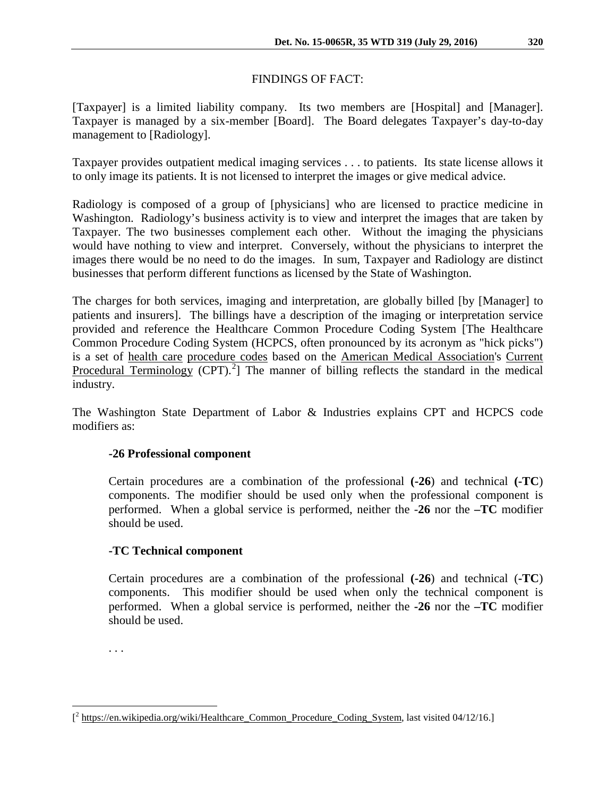### FINDINGS OF FACT:

[Taxpayer] is a limited liability company. Its two members are [Hospital] and [Manager]. Taxpayer is managed by a six-member [Board]. The Board delegates Taxpayer's day-to-day management to [Radiology].

Taxpayer provides outpatient medical imaging services . . . to patients. Its state license allows it to only image its patients. It is not licensed to interpret the images or give medical advice.

Radiology is composed of a group of [physicians] who are licensed to practice medicine in Washington. Radiology's business activity is to view and interpret the images that are taken by Taxpayer. The two businesses complement each other. Without the imaging the physicians would have nothing to view and interpret. Conversely, without the physicians to interpret the images there would be no need to do the images. In sum, Taxpayer and Radiology are distinct businesses that perform different functions as licensed by the State of Washington.

The charges for both services, imaging and interpretation, are globally billed [by [Manager] to patients and insurers]. The billings have a description of the imaging or interpretation service provided and reference the Healthcare Common Procedure Coding System [The Healthcare Common Procedure Coding System (HCPCS, often pronounced by its acronym as "hick picks") is a set of [health care](https://en.wikipedia.org/wiki/Health_care) [procedure codes](https://en.wikipedia.org/wiki/Procedure_codes) based on the [American Medical Association's](https://en.wikipedia.org/wiki/American_Medical_Association) [Current](https://en.wikipedia.org/wiki/Current_Procedural_Terminology)  [Procedural Terminology](https://en.wikipedia.org/wiki/Current_Procedural_Terminology) (CPT).<sup>[2](#page-1-0)</sup>] The manner of billing reflects the standard in the medical industry.

The Washington State Department of Labor & Industries explains CPT and HCPCS code modifiers as:

# **-26 Professional component**

Certain procedures are a combination of the professional **(-26**) and technical **(-TC**) components. The modifier should be used only when the professional component is performed. When a global service is performed, neither the -**26** nor the **–TC** modifier should be used.

# **-TC Technical component**

Certain procedures are a combination of the professional **(-26**) and technical (**-TC**) components. This modifier should be used when only the technical component is performed. When a global service is performed, neither the **-26** nor the **–TC** modifier should be used.

. . .

<span id="page-1-0"></span> $\overline{a}$ [<sup>2</sup> [https://en.wikipedia.org/wiki/Healthcare\\_Common\\_Procedure\\_Coding\\_System,](https://en.wikipedia.org/wiki/Healthcare_Common_Procedure_Coding_System) last visited 04/12/16.]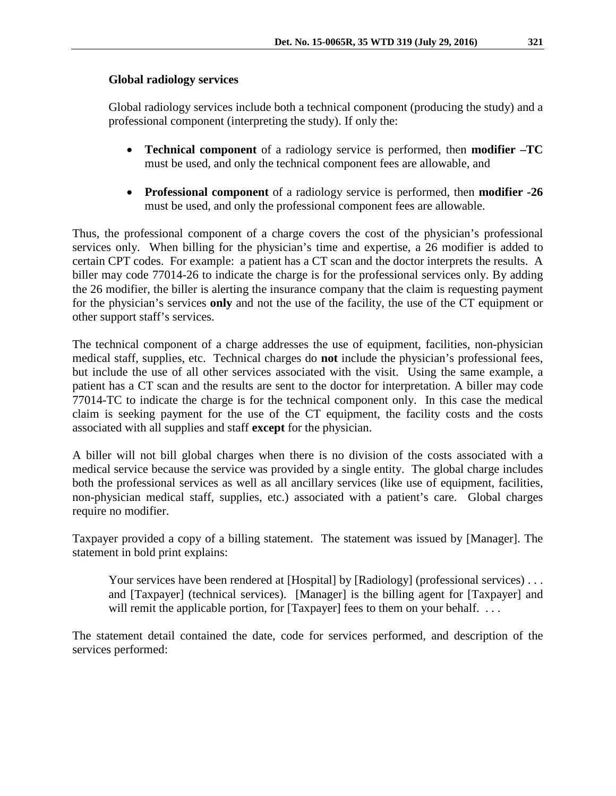### **Global radiology services**

Global radiology services include both a technical component (producing the study) and a professional component (interpreting the study). If only the:

- **Technical component** of a radiology service is performed, then **modifier –TC** must be used, and only the technical component fees are allowable, and
- **Professional component** of a radiology service is performed, then **modifier -26**  must be used, and only the professional component fees are allowable.

Thus, the professional component of a charge covers the cost of the physician's professional services only. When billing for the physician's time and expertise, a 26 modifier is added to certain CPT codes. For example: a patient has a CT scan and the doctor interprets the results. A biller may code 77014-26 to indicate the charge is for the professional services only. By adding the 26 modifier, the biller is alerting the insurance company that the claim is requesting payment for the physician's services **only** and not the use of the facility, the use of the CT equipment or other support staff's services.

The technical component of a charge addresses the use of equipment, facilities, non-physician medical staff, supplies, etc. Technical charges do **not** include the physician's professional fees, but include the use of all other services associated with the visit. Using the same example, a patient has a CT scan and the results are sent to the doctor for interpretation. A biller may code 77014-TC to indicate the charge is for the technical component only. In this case the medical claim is seeking payment for the use of the CT equipment, the facility costs and the costs associated with all supplies and staff **except** for the physician.

A biller will not bill global charges when there is no division of the costs associated with a medical service because the service was provided by a single entity. The global charge includes both the professional services as well as all ancillary services (like use of equipment, facilities, non-physician medical staff, supplies, etc.) associated with a patient's care. Global charges require no modifier.

Taxpayer provided a copy of a billing statement. The statement was issued by [Manager]. The statement in bold print explains:

Your services have been rendered at [Hospital] by [Radiology] (professional services) . . . and [Taxpayer] (technical services). [Manager] is the billing agent for [Taxpayer] and will remit the applicable portion, for [Taxpayer] fees to them on your behalf. ...

The statement detail contained the date, code for services performed, and description of the services performed: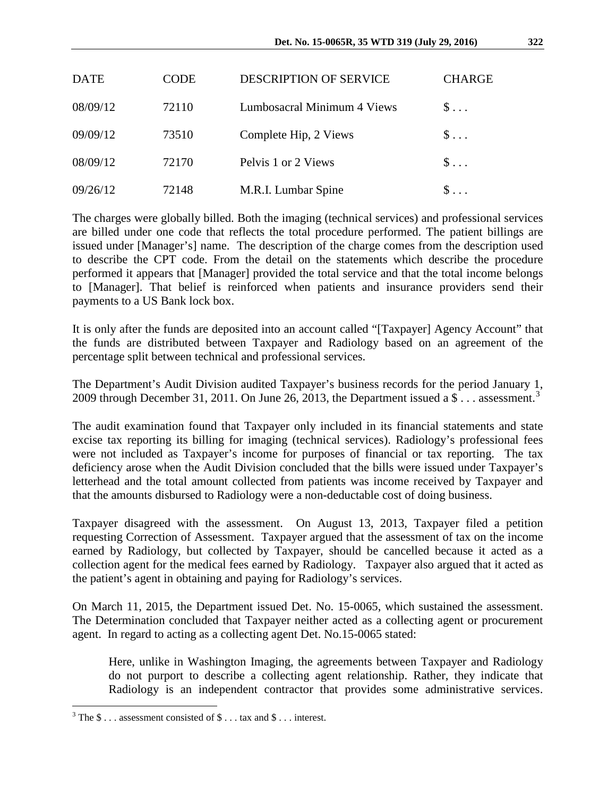| <b>DATE</b> | CODE  | <b>DESCRIPTION OF SERVICE</b> | <b>CHARGE</b> |
|-------------|-------|-------------------------------|---------------|
| 08/09/12    | 72110 | Lumbosacral Minimum 4 Views   | $S \ldots$    |
| 09/09/12    | 73510 | Complete Hip, 2 Views         | $S \ldots$    |
| 08/09/12    | 72170 | Pelvis 1 or 2 Views           | $S \ldots$    |
| 09/26/12    | 72148 | M.R.I. Lumbar Spine           |               |

The charges were globally billed. Both the imaging (technical services) and professional services are billed under one code that reflects the total procedure performed. The patient billings are issued under [Manager's] name. The description of the charge comes from the description used to describe the CPT code. From the detail on the statements which describe the procedure performed it appears that [Manager] provided the total service and that the total income belongs to [Manager]. That belief is reinforced when patients and insurance providers send their payments to a US Bank lock box.

It is only after the funds are deposited into an account called "[Taxpayer] Agency Account" that the funds are distributed between Taxpayer and Radiology based on an agreement of the percentage split between technical and professional services.

The Department's Audit Division audited Taxpayer's business records for the period January 1, 2009 through December [3](#page-3-0)1, 2011. On June 26, 2013, the Department issued a  $\$\dots$  assessment.<sup>3</sup>

The audit examination found that Taxpayer only included in its financial statements and state excise tax reporting its billing for imaging (technical services). Radiology's professional fees were not included as Taxpayer's income for purposes of financial or tax reporting. The tax deficiency arose when the Audit Division concluded that the bills were issued under Taxpayer's letterhead and the total amount collected from patients was income received by Taxpayer and that the amounts disbursed to Radiology were a non-deductable cost of doing business.

Taxpayer disagreed with the assessment. On August 13, 2013, Taxpayer filed a petition requesting Correction of Assessment. Taxpayer argued that the assessment of tax on the income earned by Radiology, but collected by Taxpayer, should be cancelled because it acted as a collection agent for the medical fees earned by Radiology. Taxpayer also argued that it acted as the patient's agent in obtaining and paying for Radiology's services.

On March 11, 2015, the Department issued Det. No. 15-0065, which sustained the assessment. The Determination concluded that Taxpayer neither acted as a collecting agent or procurement agent. In regard to acting as a collecting agent Det. No.15-0065 stated:

Here, unlike in Washington Imaging, the agreements between Taxpayer and Radiology do not purport to describe a collecting agent relationship. Rather, they indicate that Radiology is an independent contractor that provides some administrative services.

<span id="page-3-0"></span> $3$  The  $\$ \dots$  assessment consisted of  $\$ \dots$  tax and  $\$ \dots$  interest.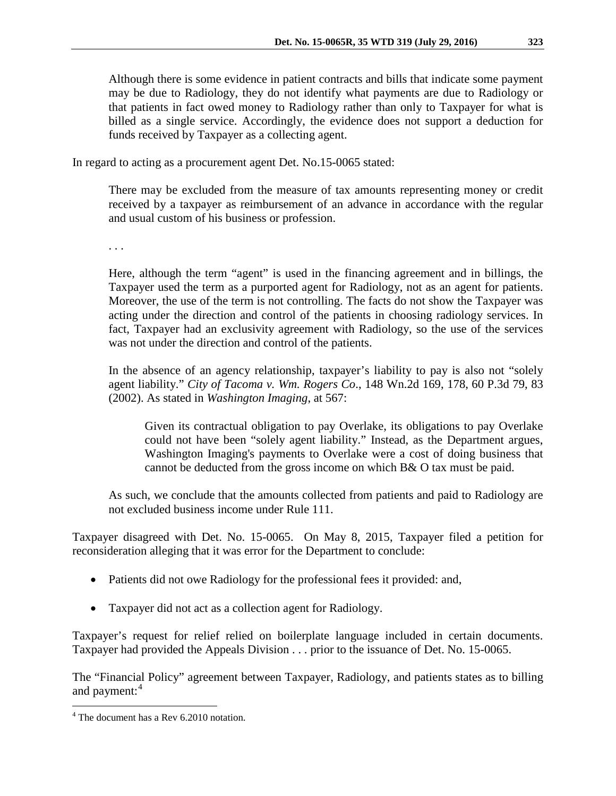Although there is some evidence in patient contracts and bills that indicate some payment may be due to Radiology, they do not identify what payments are due to Radiology or that patients in fact owed money to Radiology rather than only to Taxpayer for what is billed as a single service. Accordingly, the evidence does not support a deduction for funds received by Taxpayer as a collecting agent.

In regard to acting as a procurement agent Det. No.15-0065 stated:

There may be excluded from the measure of tax amounts representing money or credit received by a taxpayer as reimbursement of an advance in accordance with the regular and usual custom of his business or profession.

. . .

Here, although the term "agent" is used in the financing agreement and in billings, the Taxpayer used the term as a purported agent for Radiology, not as an agent for patients. Moreover, the use of the term is not controlling. The facts do not show the Taxpayer was acting under the direction and control of the patients in choosing radiology services. In fact, Taxpayer had an exclusivity agreement with Radiology, so the use of the services was not under the direction and control of the patients.

In the absence of an agency relationship, taxpayer's liability to pay is also not "solely agent liability." *City of Tacoma v. Wm. Rogers Co*., 148 Wn.2d 169, 178, 60 P.3d 79, 83 (2002). As stated in *Washington Imaging*, at 567:

Given its contractual obligation to pay Overlake, its obligations to pay Overlake could not have been "solely agent liability." Instead, as the Department argues, Washington Imaging's payments to Overlake were a cost of doing business that cannot be deducted from the gross income on which B& O tax must be paid.

As such, we conclude that the amounts collected from patients and paid to Radiology are not excluded business income under Rule 111.

Taxpayer disagreed with Det. No. 15-0065. On May 8, 2015, Taxpayer filed a petition for reconsideration alleging that it was error for the Department to conclude:

- Patients did not owe Radiology for the professional fees it provided: and,
- Taxpayer did not act as a collection agent for Radiology.

Taxpayer's request for relief relied on boilerplate language included in certain documents. Taxpayer had provided the Appeals Division . . . prior to the issuance of Det. No. 15-0065.

The "Financial Policy" agreement between Taxpayer, Radiology, and patients states as to billing and payment:<sup>[4](#page-4-0)</sup>

<span id="page-4-0"></span> <sup>4</sup> The document has a Rev 6.2010 notation.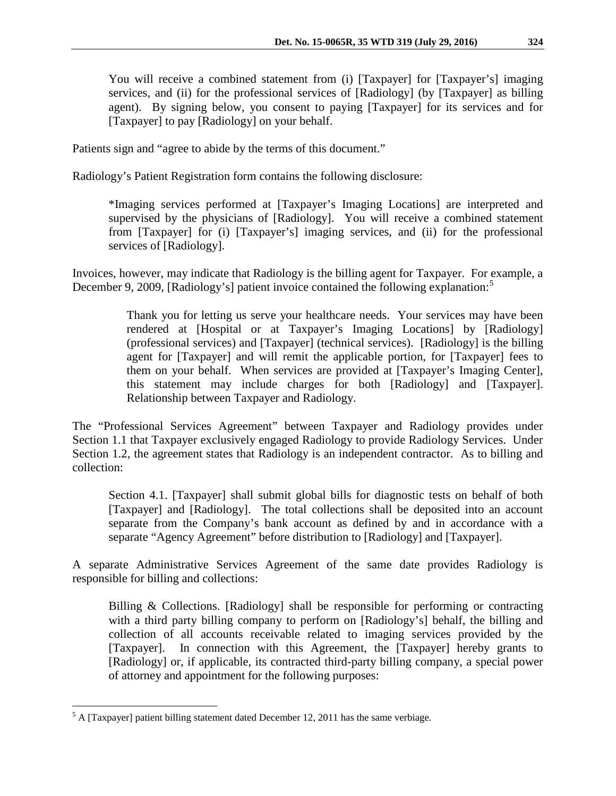You will receive a combined statement from (i) [Taxpayer] for [Taxpayer's] imaging services, and (ii) for the professional services of [Radiology] (by [Taxpayer] as billing agent). By signing below, you consent to paying [Taxpayer] for its services and for [Taxpayer] to pay [Radiology] on your behalf.

Patients sign and "agree to abide by the terms of this document."

Radiology's Patient Registration form contains the following disclosure:

\*Imaging services performed at [Taxpayer's Imaging Locations] are interpreted and supervised by the physicians of [Radiology]. You will receive a combined statement from [Taxpayer] for (i) [Taxpayer's] imaging services, and (ii) for the professional services of [Radiology].

Invoices, however, may indicate that Radiology is the billing agent for Taxpayer. For example, a December 9, 2009, [Radiology's] patient invoice contained the following explanation:<sup>[5](#page-5-0)</sup>

> Thank you for letting us serve your healthcare needs. Your services may have been rendered at [Hospital or at Taxpayer's Imaging Locations] by [Radiology] (professional services) and [Taxpayer] (technical services). [Radiology] is the billing agent for [Taxpayer] and will remit the applicable portion, for [Taxpayer] fees to them on your behalf. When services are provided at [Taxpayer's Imaging Center], this statement may include charges for both [Radiology] and [Taxpayer]. Relationship between Taxpayer and Radiology.

The "Professional Services Agreement" between Taxpayer and Radiology provides under Section 1.1 that Taxpayer exclusively engaged Radiology to provide Radiology Services. Under Section 1.2, the agreement states that Radiology is an independent contractor. As to billing and collection:

Section 4.1. [Taxpayer] shall submit global bills for diagnostic tests on behalf of both [Taxpayer] and [Radiology]. The total collections shall be deposited into an account separate from the Company's bank account as defined by and in accordance with a separate "Agency Agreement" before distribution to [Radiology] and [Taxpayer].

A separate Administrative Services Agreement of the same date provides Radiology is responsible for billing and collections:

Billing  $\&$  Collections. [Radiology] shall be responsible for performing or contracting with a third party billing company to perform on [Radiology's] behalf, the billing and collection of all accounts receivable related to imaging services provided by the [Taxpayer]. In connection with this Agreement, the [Taxpayer] hereby grants to [Radiology] or, if applicable, its contracted third-party billing company, a special power of attorney and appointment for the following purposes:

<span id="page-5-0"></span> $<sup>5</sup>$  A [Taxpayer] patient billing statement dated December 12, 2011 has the same verbiage.</sup>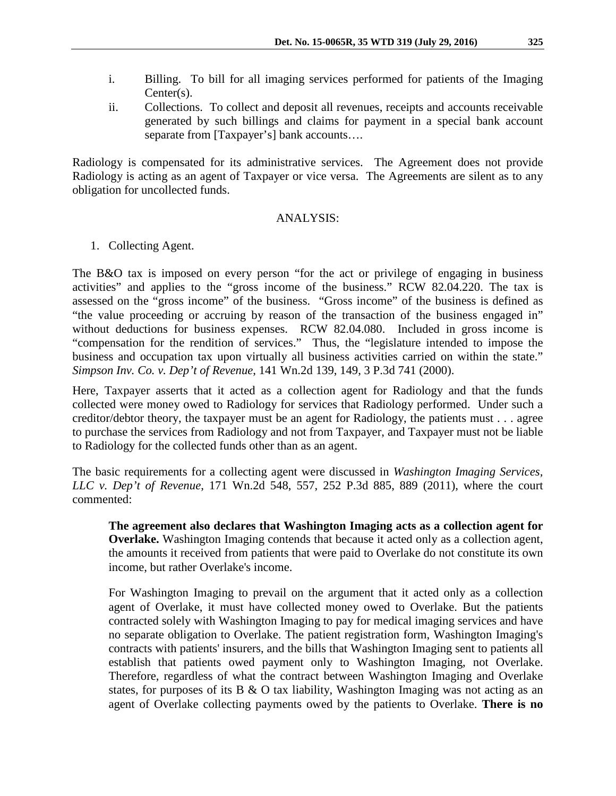- i. Billing. To bill for all imaging services performed for patients of the Imaging Center(s).
- ii. Collections. To collect and deposit all revenues, receipts and accounts receivable generated by such billings and claims for payment in a special bank account separate from [Taxpayer's] bank accounts....

Radiology is compensated for its administrative services. The Agreement does not provide Radiology is acting as an agent of Taxpayer or vice versa. The Agreements are silent as to any obligation for uncollected funds.

#### ANALYSIS:

1. Collecting Agent.

The B&O tax is imposed on every person "for the act or privilege of engaging in business activities" and applies to the "gross income of the business." RCW 82.04.220. The tax is assessed on the "gross income" of the business. "Gross income" of the business is defined as "the value proceeding or accruing by reason of the transaction of the business engaged in" without deductions for business expenses. RCW 82.04.080. Included in gross income is "compensation for the rendition of services." Thus, the "legislature intended to impose the business and occupation tax upon virtually all business activities carried on within the state." *Simpson Inv. Co. v. Dep't of Revenue*, 141 Wn.2d 139, 149, 3 P.3d 741 (2000).

Here, Taxpayer asserts that it acted as a collection agent for Radiology and that the funds collected were money owed to Radiology for services that Radiology performed. Under such a creditor/debtor theory, the taxpayer must be an agent for Radiology, the patients must . . . agree to purchase the services from Radiology and not from Taxpayer, and Taxpayer must not be liable to Radiology for the collected funds other than as an agent.

The basic requirements for a collecting agent were discussed in *Washington Imaging Services, LLC v. Dep't of Revenue*, 171 Wn.2d 548, 557, 252 P.3d 885, 889 (2011), where the court commented:

**The agreement also declares that Washington Imaging acts as a collection agent for Overlake.** Washington Imaging contends that because it acted only as a collection agent, the amounts it received from patients that were paid to Overlake do not constitute its own income, but rather Overlake's income.

For Washington Imaging to prevail on the argument that it acted only as a collection agent of Overlake, it must have collected money owed to Overlake. But the patients contracted solely with Washington Imaging to pay for medical imaging services and have no separate obligation to Overlake. The patient registration form, Washington Imaging's contracts with patients' insurers, and the bills that Washington Imaging sent to patients all establish that patients owed payment only to Washington Imaging, not Overlake. Therefore, regardless of what the contract between Washington Imaging and Overlake states, for purposes of its B  $\&$  O tax liability, Washington Imaging was not acting as an agent of Overlake collecting payments owed by the patients to Overlake. **There is no**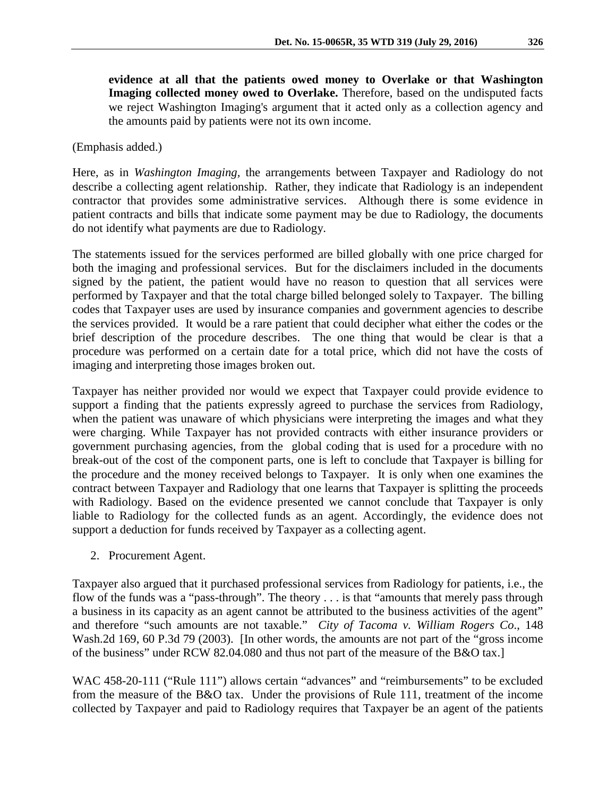(Emphasis added.)

Here, as in *Washington Imaging,* the arrangements between Taxpayer and Radiology do not describe a collecting agent relationship. Rather, they indicate that Radiology is an independent contractor that provides some administrative services. Although there is some evidence in patient contracts and bills that indicate some payment may be due to Radiology, the documents do not identify what payments are due to Radiology.

The statements issued for the services performed are billed globally with one price charged for both the imaging and professional services. But for the disclaimers included in the documents signed by the patient, the patient would have no reason to question that all services were performed by Taxpayer and that the total charge billed belonged solely to Taxpayer. The billing codes that Taxpayer uses are used by insurance companies and government agencies to describe the services provided. It would be a rare patient that could decipher what either the codes or the brief description of the procedure describes. The one thing that would be clear is that a procedure was performed on a certain date for a total price, which did not have the costs of imaging and interpreting those images broken out.

Taxpayer has neither provided nor would we expect that Taxpayer could provide evidence to support a finding that the patients expressly agreed to purchase the services from Radiology, when the patient was unaware of which physicians were interpreting the images and what they were charging. While Taxpayer has not provided contracts with either insurance providers or government purchasing agencies, from the global coding that is used for a procedure with no break-out of the cost of the component parts, one is left to conclude that Taxpayer is billing for the procedure and the money received belongs to Taxpayer. It is only when one examines the contract between Taxpayer and Radiology that one learns that Taxpayer is splitting the proceeds with Radiology. Based on the evidence presented we cannot conclude that Taxpayer is only liable to Radiology for the collected funds as an agent. Accordingly, the evidence does not support a deduction for funds received by Taxpayer as a collecting agent.

2. Procurement Agent.

Taxpayer also argued that it purchased professional services from Radiology for patients, i.e., the flow of the funds was a "pass-through". The theory . . . is that "amounts that merely pass through a business in its capacity as an agent cannot be attributed to the business activities of the agent" and therefore "such amounts are not taxable." *City of Tacoma v. William Rogers Co*., 148 Wash.2d 169, 60 P.3d 79 (2003). [In other words, the amounts are not part of the "gross income of the business" under RCW 82.04.080 and thus not part of the measure of the B&O tax.]

WAC 458-20-111 ("Rule 111") allows certain "advances" and "reimbursements" to be excluded from the measure of the B&O tax. Under the provisions of Rule 111, treatment of the income collected by Taxpayer and paid to Radiology requires that Taxpayer be an agent of the patients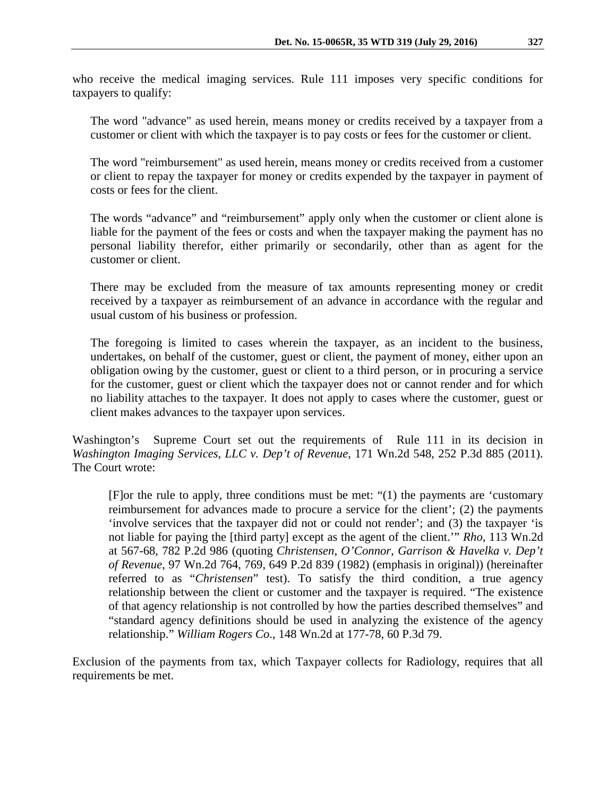who receive the medical imaging services. Rule 111 imposes very specific conditions for taxpayers to qualify:

The word "advance" as used herein, means money or credits received by a taxpayer from a customer or client with which the taxpayer is to pay costs or fees for the customer or client.

The word "reimbursement" as used herein, means money or credits received from a customer or client to repay the taxpayer for money or credits expended by the taxpayer in payment of costs or fees for the client.

The words "advance" and "reimbursement" apply only when the customer or client alone is liable for the payment of the fees or costs and when the taxpayer making the payment has no personal liability therefor, either primarily or secondarily, other than as agent for the customer or client.

There may be excluded from the measure of tax amounts representing money or credit received by a taxpayer as reimbursement of an advance in accordance with the regular and usual custom of his business or profession.

The foregoing is limited to cases wherein the taxpayer, as an incident to the business, undertakes, on behalf of the customer, guest or client, the payment of money, either upon an obligation owing by the customer, guest or client to a third person, or in procuring a service for the customer, guest or client which the taxpayer does not or cannot render and for which no liability attaches to the taxpayer. It does not apply to cases where the customer, guest or client makes advances to the taxpayer upon services.

Washington's Supreme Court set out the requirements of Rule 111 in its decision in *Washington Imaging Services, LLC v. Dep't of Revenue*, 171 Wn.2d 548, 252 P.3d 885 (2011). The Court wrote:

[F]or the rule to apply, three conditions must be met: "(1) the payments are 'customary reimbursement for advances made to procure a service for the client'; (2) the payments 'involve services that the taxpayer did not or could not render'; and (3) the taxpayer 'is not liable for paying the [third party] except as the agent of the client.'" *Rho*, 113 Wn.2d at 567-68, 782 P.2d 986 (quoting *Christensen, O'Connor, Garrison & Havelka v. Dep't of Revenue*, 97 Wn.2d 764, 769, 649 P.2d 839 (1982) (emphasis in original)) (hereinafter referred to as "*Christensen*" test). To satisfy the third condition, a true agency relationship between the client or customer and the taxpayer is required. "The existence of that agency relationship is not controlled by how the parties described themselves" and "standard agency definitions should be used in analyzing the existence of the agency relationship." *William Rogers Co*., 148 Wn.2d at 177-78, 60 P.3d 79.

Exclusion of the payments from tax, which Taxpayer collects for Radiology, requires that all requirements be met.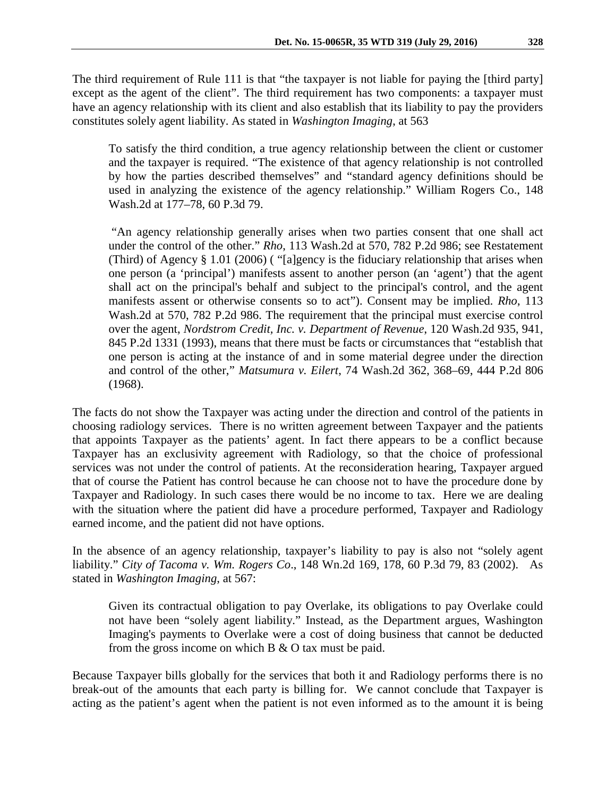To satisfy the third condition, a true agency relationship between the client or customer and the taxpayer is required. "The existence of that agency relationship is not controlled by how the parties described themselves" and "standard agency definitions should be used in analyzing the existence of the agency relationship." William Rogers Co., 148 Wash.2d at 177–78, 60 P.3d 79.

"An agency relationship generally arises when two parties consent that one shall act under the control of the other." *Rho*, 113 Wash.2d at 570, 782 P.2d 986; see Restatement (Third) of Agency § 1.01 (2006) ( "[a]gency is the fiduciary relationship that arises when one person (a 'principal') manifests assent to another person (an 'agent') that the agent shall act on the principal's behalf and subject to the principal's control, and the agent manifests assent or otherwise consents so to act"). Consent may be implied. *Rho*, 113 Wash.2d at 570, 782 P.2d 986. The requirement that the principal must exercise control over the agent, *Nordstrom Credit, Inc. v. Department of Revenue*, 120 Wash.2d 935, 941, 845 P.2d 1331 (1993), means that there must be facts or circumstances that "establish that one person is acting at the instance of and in some material degree under the direction and control of the other," *Matsumura v. Eilert*, 74 Wash.2d 362, 368–69, 444 P.2d 806 (1968).

The facts do not show the Taxpayer was acting under the direction and control of the patients in choosing radiology services. There is no written agreement between Taxpayer and the patients that appoints Taxpayer as the patients' agent. In fact there appears to be a conflict because Taxpayer has an exclusivity agreement with Radiology, so that the choice of professional services was not under the control of patients. At the reconsideration hearing, Taxpayer argued that of course the Patient has control because he can choose not to have the procedure done by Taxpayer and Radiology. In such cases there would be no income to tax. Here we are dealing with the situation where the patient did have a procedure performed, Taxpayer and Radiology earned income, and the patient did not have options.

In the absence of an agency relationship, taxpayer's liability to pay is also not "solely agent liability." *City of Tacoma v. Wm. Rogers Co*., 148 Wn.2d 169, 178, 60 P.3d 79, 83 (2002). As stated in *Washington Imaging*, at 567:

Given its contractual obligation to pay Overlake, its obligations to pay Overlake could not have been "solely agent liability." Instead, as the Department argues, Washington Imaging's payments to Overlake were a cost of doing business that cannot be deducted from the gross income on which B & O tax must be paid.

Because Taxpayer bills globally for the services that both it and Radiology performs there is no break-out of the amounts that each party is billing for. We cannot conclude that Taxpayer is acting as the patient's agent when the patient is not even informed as to the amount it is being